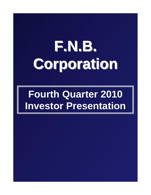# **F.N.B. Corporation Corporation**

## **Fourth Quarter 2010 Investor Presentation**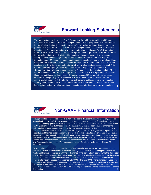

## Forward-Looking Statements

This presentation and the reports F.N.B. Corporation files with the Securities and Exchange Commission often contain "forward-looking statements" relating to present or future trends or factors affecting the banking industry and, specifically, the financial operations, markets and products of F.N.B. Corporation. These forward-looking statements involve certain risks and uncertainties. There are a number of important factors that could cause F.N.B. Corporation's future results to differ materially from historical performance or projected performance. These factors include, but are not limited to: (1) a significant increase in competitive pressures among financial institutions; (2) changes in the interest rate environment that may reduce interest margins; (3) changes in prepayment speeds, loan sale volumes, charge-offs and loan loss provisions; (4) general economic conditions; (5) various monetary and fiscal policies and regulations of the U.S. government that may adversely affect the businesses in which F.N.B. Corporation is engaged; (6) technological issues which may adversely affect F.N.B. Corporation's financial operations or customers; (7) changes in the securities markets; (8) risk factors mentioned in the reports and registration statements F.N.B. Corporation files with the Securities and Exchange Commission; (9) housing prices; (10) job market; (11) consumer confidence and spending habits; (12) estimates of fair value of certain F.N.B. Corporation assets and liabilities or (13) the effects of current, pending and future legislation, regulation and regulatory actions. F.N.B. Corporation undertakes no obligation to revise these forwardlooking statements or to reflect events or circumstances after the date of this presentation.



### Non-GAAP Financial Information

2

To supplement its consolidated financial statements presented in accordance with Generally Accepted Accounting Principles (GAAP), the Corporation provides additional measures of operating results, net income and earnings per share (EPS) adjusted to exclude certain costs, expenses, and gains and losses. The Corporation believes that these non-GAAP financial measures are appropriate to enhance the understanding of its past performance as well as prospects for its future performance. In the event of such a disclosure or release, the Securities and Exchange Commission's Regulation G requires: (i) the presentation of the most directly comparable financial measure calculated and presented in accordance with GAAP and (ii) a reconciliation of the differences between the non-GAAP financial measure presented and the most directly comparable financial measure calculated and presented in accordance with GAAP. The required presentations and reconciliations are contained herein and can be found at our website, www.fnbcorporation.com, under "Shareholder and Investor Relations" by clicking on "Non-GAAP Reconciliation."

The Appendix to this presentation contains non-GAAP financial measures used by the Corporation to provide information useful to investors in understanding the Corporation's operating performance and trends, and facilitate comparisons with the performance of the Corporation's peers. While the Corporation believes that these non-GAAP financial measures are useful in evaluating the Corporation, the information should be considered supplemental in nature and not as a substitute for or superior to the relevant financial information prepared in accordance with GAAP. The non-GAAP financial measures used by the Corporation may differ from the non-GAAP financial measures other financial institutions use to measure their results of operations. This information should be reviewed in conjunction with the Corporation's financial results disclosed on January 24, 2011 and in its periodic filings with the Securities and Exchange **Commission.** 3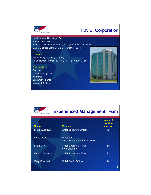

## F.N.B. Corporation

4

Headquarters: Hermitage, PA Bank Charter: 1864 Assets: \$9.6B As of January 1, 2011 (4th largest bank in PA) Market Capitalization: \$1.3B at February 7, 2011

#### **Locations**

238 Banking: 227 (PA), 11 (OH) 64 Consumer Finance: 22 (PA), 19 (TN), 16 (OH), 7 (KY)

#### Business Lines

**Banking** Wealth Management Insurance Consumer Finance Merchant Banking

**F.N.B.** Corporation

## Experienced Management Team

| <b>Name</b>            | <b>Position</b>                                        | <b>Years of</b><br><b>Banking</b><br><b>Experience</b> |
|------------------------|--------------------------------------------------------|--------------------------------------------------------|
| <b>Steve Gurgovits</b> | <b>Chief Executive Officer</b>                         | 49                                                     |
| <b>Vince Delie</b>     | <b>President</b><br>CEO, First National Bank of PA     | 23                                                     |
| <b>Brian Lilly</b>     | <b>Chief Operating Officer</b><br><b>Vice Chairman</b> | 30                                                     |
| <b>Vince Calabrese</b> | <b>Chief Financial Officer</b>                         | 22                                                     |
| <b>Gary Guerrieri</b>  | <b>Chief Credit Officer</b>                            | 24                                                     |
|                        |                                                        | 5                                                      |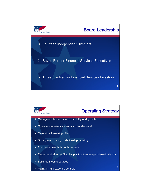

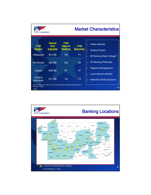| <b>F.N.B. Corporation</b>      |                                                                           |                                         |                               |                                                | <b>Market Characteristics</b>                              |
|--------------------------------|---------------------------------------------------------------------------|-----------------------------------------|-------------------------------|------------------------------------------------|------------------------------------------------------------|
| <b>FNB</b><br><b>Region</b>    | <b>Market</b><br><b>Size</b><br><b>Deposits</b>                           | <b>FNB</b><br><b>Deposit</b><br>Ranking | <b>FNB</b><br><b>Branches</b> | $\blacktriangleleft$<br>$\blacktriangleright$  | <b>Stable Markets</b><br><b>Modest Growth</b>              |
| Pittsburgh                     | \$73.9B                                                                   | 7 <sub>th</sub>                         | 71                            | $\blacktriangleright$                          | #2 Ranking State College(1)                                |
| Northwest                      | \$25.5B                                                                   | 3rd                                     | 58                            | ➤                                              | #7 Ranking Pittsburgh                                      |
| Capital                        | \$38.0B                                                                   | <b>gth</b>                              | 47                            | $\blacktriangleright$<br>$\blacktriangleright$ | <b>Regional Management</b><br><b>Local Advisory Boards</b> |
| Central<br><b>Mountain</b>     | \$11.8B                                                                   | 1st                                     | 73                            | $\blacktriangleright$                          | <b>Marcellus Shale Exposure</b>                            |
| February 1, 2011.<br>$(1)$ MSA | Source: SNL as of June 30, 2010, pro-forma for pending acquisitions as of |                                         |                               |                                                | 8                                                          |

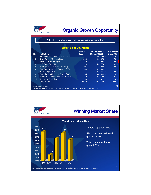|                | <b>F.N.B. Corporation</b>                                                                                                        |                              | <b>Organic Growth Opportunity</b> |                     |
|----------------|----------------------------------------------------------------------------------------------------------------------------------|------------------------------|-----------------------------------|---------------------|
|                | Attractive market rank of #3 for counties of operation                                                                           |                              |                                   |                     |
|                |                                                                                                                                  | <b>Counties of Operation</b> |                                   |                     |
|                |                                                                                                                                  | <b>Branch</b>                | <b>Total Deposits in</b>          | <b>Total Market</b> |
|                | <b>Rank Institution</b>                                                                                                          | <b>Count</b>                 | <b>Market (\$000)</b>             | Share (%)           |
|                | PNC Financial Services Group (PA)                                                                                                | 341                          | 45,093,569                        | 31.65               |
| $\overline{2}$ | Royal Bank of Scotland Group                                                                                                     | 216                          | 9,970,789                         | 7.00                |
| 3              | F.N.B. Corporation (PA)                                                                                                          | 249                          | 7,149,088                         | 5.02                |
| $\overline{4}$ | M&T Bank Corp (NY)                                                                                                               | 124                          | 5,667,789                         | 3.98                |
| 5              | Huntington Bancshares Inc. (OH)                                                                                                  | 104                          | 5,222,586                         | 3.67                |
| 6              | First Commonwealth Financial (PA)                                                                                                | 104                          | 4.164.090                         | 2.92                |
| $\overline{7}$ | Wells Fargo & Co.                                                                                                                | 46                           | 3.714.419                         | 2.61                |
| 8              | First Niagara Financial Group (NY)                                                                                               | 65                           | 3.454.325                         | 2.42                |
| 9              | Dollar Bank Federal Savings Bank (PA)                                                                                            | 40                           | 3,241,899                         | 2.28                |
| 10             | Northwest Bancshares                                                                                                             | 90                           | 2,970,112                         | 2.08                |
|                | <b>Total (1-152)</b>                                                                                                             | 2,643                        | 142,471,190                       | 100.00              |
|                | Source: SNL Financial<br>Deposit data as of June 30, 2010; pro forma for pending acquisitions; updated through February 1, 2011. |                              |                                   | 10                  |

I.

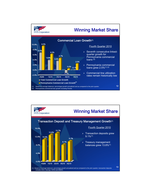

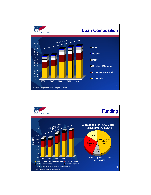

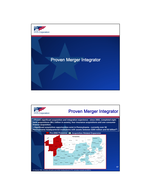

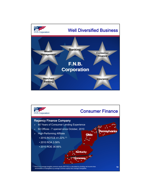

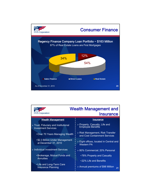

| F.N.B. Corporation                                                 | <b>Wealth Management and</b><br><b>Insurance</b>                  |
|--------------------------------------------------------------------|-------------------------------------------------------------------|
| <b>Wealth Management</b>                                           | Insurance                                                         |
| > Trust, Fiduciary and Institutional<br><b>Investment Services</b> | ▶ Property, Casualty, Life and<br>Employee Benefits               |
| •Over 70 Years Managing Wealth                                     | > Risk Management, Risk Transfer<br>and Cost Containment Services |
| • \$2.3 Billion Under Management<br>at December 31, 2010           | > Eight offices, located in Central and<br><b>Western PA</b>      |
| > Individual Investment Services                                   | > 80% Commercial; 20% Personal                                    |
| •Brokerage, Mutual Funds and                                       | •78% Property and Casualty                                        |
| <b>Annuities</b>                                                   | •22% Life and Benefits                                            |
| •Life and Long-Term Care<br><b>Insurance Planning</b>              | > Annual premiums of \$98 Million<br>21                           |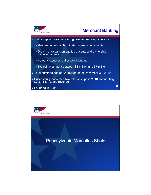

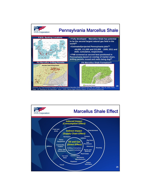

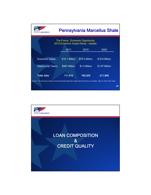| <b>B.</b> Corporation                                                                                                    |                |                                                                         | <b>Pennsylvania Marcellus Shale</b> |    |
|--------------------------------------------------------------------------------------------------------------------------|----------------|-------------------------------------------------------------------------|-------------------------------------|----|
|                                                                                                                          |                | The Future: Economic Opportunity<br>2010 Economic Impact Study - Update |                                     |    |
|                                                                                                                          | 2011           | 2015                                                                    | 2020                                |    |
|                                                                                                                          |                |                                                                         |                                     |    |
| Economic Value:                                                                                                          | \$10.1 Billion | \$14.4 Billion                                                          | \$18.8 Billion                      |    |
| <b>State/Local Taxes:</b>                                                                                                | \$987 Million  | \$1.4 Billion                                                           | \$1.87 Billion                      |    |
| <b>Total Jobs:</b>                                                                                                       | 111,413        | 160,205                                                                 | 211,909                             |    |
| Source: "The Economic Impacts of the Pennsylvania Marcellus Shale Natural Gas Play: An Update", May 24, 2010, Penn State |                |                                                                         |                                     | 26 |

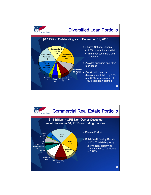

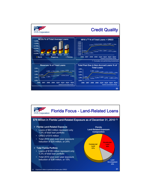

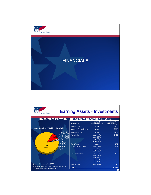

| <b>F.N.B. Corporation</b>                                                                                                          | <b>Earning Assets - Investments</b> |                                                                        |                                           |
|------------------------------------------------------------------------------------------------------------------------------------|-------------------------------------|------------------------------------------------------------------------|-------------------------------------------|
| Investment Portfolio Ratings as of December 31, 2010                                                                               |                                     |                                                                        |                                           |
|                                                                                                                                    | Investment                          | <b>Ratings By</b><br>Investment - %                                    | Amount <sup>(1)</sup><br>(in \$ millions) |
|                                                                                                                                    | Agency - MBS                        | <b>AAA</b>                                                             | \$900                                     |
| % of Total \$1.7 Billion Portfolio<br>A 1.1%<br><b>BBB 0.7%</b><br><b>BB 0.2%</b><br>$\mathbf{A}$ 10.59<br>B 0.2%<br>Non-<br>Rated | <b>Agency - Senior Notes</b>        | <b>AAA</b>                                                             | \$305                                     |
|                                                                                                                                    | CMO - Agency                        | <b>AAA</b>                                                             | \$219                                     |
|                                                                                                                                    | <b>Municipals</b>                   | $AAA - 1%$<br>AA - 88%<br>$A - 8%$<br><b>BBB-3%</b>                    | \$196                                     |
| 0.1%                                                                                                                               | Short-Term                          | <b>AAA</b>                                                             | \$16                                      |
| <b>AAA</b><br>$CC0$ & $C1$<br>86.1%<br>1.1%                                                                                        | <b>CMO - Private Label</b>          | $AAA - 43%$<br>AA - 22%<br>$CCC - 35%$                                 | \$34                                      |
|                                                                                                                                    | Trust Preferred <sup>(2)</sup>      | $A - 14%$<br><b>BBB-27%</b><br><b>BB-15%</b><br>$B - 17%$<br>$C - 27%$ | \$22                                      |
| (1) Amounts shown reflect GAAP                                                                                                     | <b>Bank Stocks</b>                  | Non-Rated                                                              | \$2                                       |
| (2) Original cost of \$55 million; adjusted cost of \$37<br>million: fair value of \$21 million                                    | <b>Total</b>                        |                                                                        | \$1.694                                   |
|                                                                                                                                    |                                     |                                                                        | 33                                        |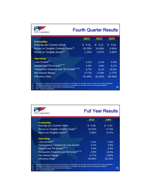| <b>F.N.B. Corporation</b>                                                                                                                                                                                                                                                                                                                                       |                       |             | <b>Fourth Quarter Results</b> |
|-----------------------------------------------------------------------------------------------------------------------------------------------------------------------------------------------------------------------------------------------------------------------------------------------------------------------------------------------------------------|-----------------------|-------------|-------------------------------|
|                                                                                                                                                                                                                                                                                                                                                                 | 4Q10                  | <b>3Q10</b> | 4Q09                          |
| <b>Profitability</b>                                                                                                                                                                                                                                                                                                                                            |                       |             |                               |
| Earnings per Common Share                                                                                                                                                                                                                                                                                                                                       | $\mathcal{S}$<br>0.21 | \$0.15      | 0.04<br>\$.                   |
| Return on Tangible Common Equity <sup>(1)</sup>                                                                                                                                                                                                                                                                                                                 | 19.28%                | 14.56%      | 4.66%                         |
| Return on Tangible Assets <sup>(2)</sup>                                                                                                                                                                                                                                                                                                                        | 1.15%                 | 0.87%       | 0.28%                         |
| <b>Operating</b>                                                                                                                                                                                                                                                                                                                                                |                       |             |                               |
| Loan Growth <sup>(3)</sup>                                                                                                                                                                                                                                                                                                                                      | 3.1%                  | 4.1%        | 4.3%                          |
| Deposit and TM Growth <sup>(3) (4)</sup>                                                                                                                                                                                                                                                                                                                        | 4.5%                  | 4.6%        | 6.1%                          |
| Transaction Deposits and TM Growth <sup>(3) (4)</sup>                                                                                                                                                                                                                                                                                                           | 9.7%                  | 8.1%        | 10.6%                         |
| Net Interest Margin                                                                                                                                                                                                                                                                                                                                             | 3.77%                 | 3.78%       | 3.77%                         |
| <b>Efficiency Ratio</b>                                                                                                                                                                                                                                                                                                                                         | 54.46%                | 61.54%      | 66.28%                        |
| (1)<br>Calculated by dividing net income less amortization of intangibles by average common equity less average intangibles.<br>Calculated by dividing net income less amortization of intangibles by average assets less average intangibles.<br>(2)<br>Annualized linked-quarter data, based on average balances.<br>(3)<br>(4)<br>$TM = Treasury Management$ |                       |             | 34                            |

| <b>F.N.B. Corporation</b>                             |             | <b>Full Year Results</b> |  |
|-------------------------------------------------------|-------------|--------------------------|--|
| <b>Profitability</b>                                  | 2010        | 2009                     |  |
| Earnings per Common Share                             | 0.65<br>\$. | 0.32<br>\$.              |  |
| Return on Tangible Common Equity <sup>(1)</sup>       | 16.02%      | 8.74%                    |  |
| Return on Tangible Assets <sup>(2)</sup>              | 0.95%       | 0.57%                    |  |
| <b>Operating</b>                                      |             |                          |  |
| Loan Growth $(3)$                                     | $4.1\%$     | 0.5%                     |  |
| Pennsylvania Commercial Loan Growth                   | 5.1%        | 3.9%                     |  |
| Deposit and TM Growth <sup>(3) (4)</sup>              | 4.9%        | 6.9%                     |  |
| Transaction Deposits and TM Growth <sup>(3) (4)</sup> | 8.8%        | 13.5%                    |  |
| Net Interest Margin                                   | 3.77%       | 3.65%                    |  |
| <b>Efficiency Ratio</b>                               | 59.96%      | 65.52%                   |  |

(1) Calculated by dividing net income less amortization of intangibles by average common equity less average intangibles.<br>(2) Calculated by dividing net income less amortization of intangibles by average assets less averag

35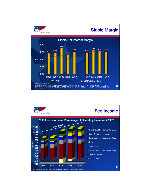

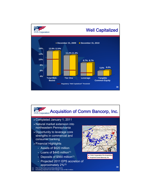

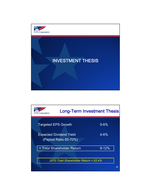

| <b>Long-Term Investment Thesis</b><br><b>F.N.B. Corporation</b>     |    |
|---------------------------------------------------------------------|----|
| <b>Targeted EPS Growth</b><br>$5 - 6%$                              |    |
| $4 - 6%$<br><b>Expected Dividend Yield</b><br>(Payout Ratio 60-70%) |    |
| $9 - 12%$<br>= Total Shareholder Return                             |    |
| 2010 Total Shareholder Return = 53.4%                               | 41 |
|                                                                     |    |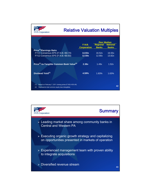| <b>F.N.B. Corporation</b>                                                                                                  | <b>Relative Valuation Multiples</b> |                                 |                                                       |    |
|----------------------------------------------------------------------------------------------------------------------------|-------------------------------------|---------------------------------|-------------------------------------------------------|----|
|                                                                                                                            | F.N.B.<br><b>Corporation</b>        | <b>Regional</b><br><b>Banks</b> | <b>Peer Median</b><br><b>National</b><br><b>Banks</b> |    |
| Price <sup>(1)</sup> /Earnings Ratio<br>FY11 Consensus EPS (F.N.B.=\$0.70)<br>FY12 Consensus EPS (F.N.B.=\$0.83)           | 14.93x<br>12.59x                    | 16.52x<br>12.90x                | 16.55x<br>13.82x                                      |    |
| Price <sup>(1)</sup> -to-Tangible Common Book Value <sup>(2)</sup>                                                         | 2.38x                               | 1.49x                           | 1.52x                                                 |    |
| Dividend Yield <sup>(1)</sup>                                                                                              | 4.59%                               | 1.83%                           | 1.63%                                                 |    |
|                                                                                                                            |                                     |                                 |                                                       |    |
| (1)<br>Based on February 7, 2011 closing prices (F.N.B.=\$10.45)<br>(2)<br>Represents total common equity less intangibles |                                     |                                 |                                                       | 42 |

![](_page_21_Figure_1.jpeg)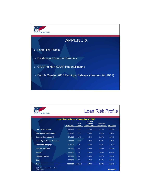![](_page_22_Figure_0.jpeg)

| <b>B.</b> Corporation                                     |                                                                     |                 |                                                        |                                  | <b>Loan Risk Profile</b> |
|-----------------------------------------------------------|---------------------------------------------------------------------|-----------------|--------------------------------------------------------|----------------------------------|--------------------------|
|                                                           | Loan Risk Profile as of December 31, 2010<br>Balance <sup>(1)</sup> | $%$ of<br>Loans | <b>YTD Net</b><br>Charge-<br>Offs/Loans <sup>(2)</sup> | <b>Total Past</b><br>Due / Loans | <b>NPL/Loans</b>         |
| <b>CRE Owner Occupied</b>                                 | 1,115,723                                                           | 18%             | 0.20%                                                  | 3.12%                            | 2.15%                    |
| <b>CRE Non-Owner Occupied</b>                             | 1,055,973                                                           | 17%             | 0.38%                                                  | 2.15%                            | 1.83%                    |
| <b>Commercial &amp; Industrial</b>                        | 971,015                                                             | 16%             | 0.40%                                                  | 1.19%                            | 1.01%                    |
| <b>Home Equity &amp; Other Consumer</b>                   | 1,405,638                                                           | 23%             | 0.43%                                                  | 0.95%                            | 0.73%                    |
| <b>Residential Mortgage</b>                               | 567,523                                                             | 9%              | 0.12%                                                  | 2.02%                            | 1.21%                    |
| <b>Indirect Consumer</b>                                  | 497,251                                                             | 8%              | 0.45%                                                  | 1.30%                            | 0.15%                    |
| <b>Florida</b>                                            | 195.281                                                             | 3%              | 8.83%                                                  | 29.56%                           | 28.28%                   |
| <b>Regency Finance</b>                                    | 162,805                                                             | 3%              | 3.83%                                                  | 4.22%                            | 4.98%                    |
| Other                                                     | 116,946                                                             | 2%              | 1.08%                                                  | 2.16%                            | 0.83%                    |
| Total                                                     | 6,088,155                                                           | 100.0%          | 0.77%                                                  | 2.76%                            | 2.22%                    |
| (1) Period end balances, in \$ millions<br>(2) Annualized |                                                                     |                 |                                                        |                                  | <b>Appendix</b>          |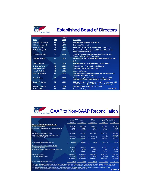![](_page_23_Picture_0.jpeg)

樊

## Established Board of Directors

|                             |     | <b>Director</b> |                                                                                                                              |
|-----------------------------|-----|-----------------|------------------------------------------------------------------------------------------------------------------------------|
| <b>Name</b>                 | Age | <b>Since</b>    | <b>Biography</b>                                                                                                             |
| <b>Stephen J. Gurgovits</b> | 67  | 1981            | <b>President and Chief Executive Officer</b>                                                                                 |
| <b>William B. Campbell</b>  | 72  | 1975            | <b>Chairman of the Board</b>                                                                                                 |
| Henry M. Ekker              | 71  | 1994            | Partner with Ekker, Kuster, McConnell & Epstein, LLP                                                                         |
| <b>Philip E. Gingerich</b>  | 73  | 2008            | Director of Omega from 1994 to 2008; Retired Real Estate<br><b>Appraiser and Consultant</b>                                  |
| <b>Robert B. Goldstein</b>  | 70  | 2003            | Principal of CapGen Financial Advisors LLC since 2007;<br><b>Former Chairman of Bay View Capital</b>                         |
| Dawne S. Hickton            | 53  | 2006            | Vice Chairman and CEO of RTI International Metals, Inc. since                                                                |
|                             |     |                 | 2007                                                                                                                         |
| David J. Malone             | 56  | 2005            | <b>President and CEO of Gateway Financial since 2004</b>                                                                     |
| <b>D. Stephen Martz</b>     | 68  | 2008            | Former Director, President & COO of Omega                                                                                    |
| <b>Peter Mortensen</b>      | 75  | 1974            | Chairman of F.N.B. from 1988 to 2007                                                                                         |
| <b>Harry F. Radcliffe</b>   | 60  | 2002            | <b>Investment Manager</b>                                                                                                    |
| Arthur J. Rooney II         | 58  | 2006            | President, Pittsburgh Steelers Sports, Inc.; of Counsel with<br>Buchanan, Ingersoll & Rooney LLP                             |
| John W. Rose                | 61  | 2003            | Principal of CapGen Financial Advisors LLC since 2007;<br>President of McAllen Capital Partners, Inc. since 1991             |
| <b>Stanton R. Sheetz</b>    | 55  | 2008            | CEO and Director of Sheetz, Inc.; Director of Omega from 1994<br>to 2008; Director of Quaker Steak and Lube Restaurant, Inc. |
| William J. Strimbu          | 49  | 1995            | President of Nick Strimbu, Inc. since 1994                                                                                   |
| Earl K. Wahl, Jr.           | 70  | 2002            | <b>Appendix</b><br>Owner, J.E.D. Corporation                                                                                 |

## GAAP to Non-GAAP Reconciliation

|                                                      | 2010       |              | 2009       | For the Year<br>Ended December 31, |            |
|------------------------------------------------------|------------|--------------|------------|------------------------------------|------------|
|                                                      | Fourth     | <b>Third</b> | Fourth     |                                    |            |
|                                                      | Quarter    | Quarter      | Quarter    | 2010                               | 2009       |
| Return on average tangible equity (1):               |            |              |            |                                    |            |
| Net income (annualized)                              | \$93,364   | \$68,308     | \$18,077   | \$74.652                           | \$32,803   |
| Amortization of intangibles, net of tax (annualized) | 4.315      | 4.319        | 4,457      | 4,364                              | 4,607      |
|                                                      | 97,679     | 72,627       | 22,534     | 79,016                             | 37,410     |
| Average total shareholders' equity                   | 1.068.468  | 1,062,512    | 1.052.483  | 1,057,732                          | 1,063,104  |
| Less: Average preferred shareholders' equity         |            |              |            | $\mathbf 0$                        | (63, 602)  |
| Less: Average intangibles                            | (561, 946) | (563, 631)   | (568, 666) | (564, 448)                         | (571, 492) |
|                                                      | 506.522    | 498,881      | 483.817    | 493,284                            | 428,010    |
| Return on average tangible equity (1)                | 19.28%     | 14.56%       | 4.66%      | 16.02%                             | 8.74%      |
| Return on average tangible assets (2):               |            |              |            |                                    |            |
| Net income (annualized)                              | \$93,364   | \$68,308     | \$18,077   | \$74,652                           | \$41,111   |
| Amortization of intangibles, net of tax (annualized) | 4.315      | 4.319        | 4.457      | 4.364                              | 4,607      |
|                                                      | 97,679     | 72,627       | 22,534     | 79,016                             | 45,718     |
| Average total assets                                 | 9.044.812  | 8.958.692    | 8.681.532  | 8.906.734                          | 8,606,188  |
| Less: Average intangibles                            | (561, 946) | (563, 631)   | (568, 666) | (564, 448)                         | (571, 492) |
|                                                      | 8,482,866  | 8,395,061    | 8,112,866  | 8,342,286                          | 8,034,696  |
| Return on average tangible assets (2)                | 1.15%      | 0.87%        | 0.28%      | 0.95%                              | 0.57%      |

(3) Accumulated other comprehensive income (AOCI) is comprised of unrealized losses on securities, non-credit impairment losses on other-<br>than-temporarily impaired securities and unrecognized pension and postretirement obligat

Appendix